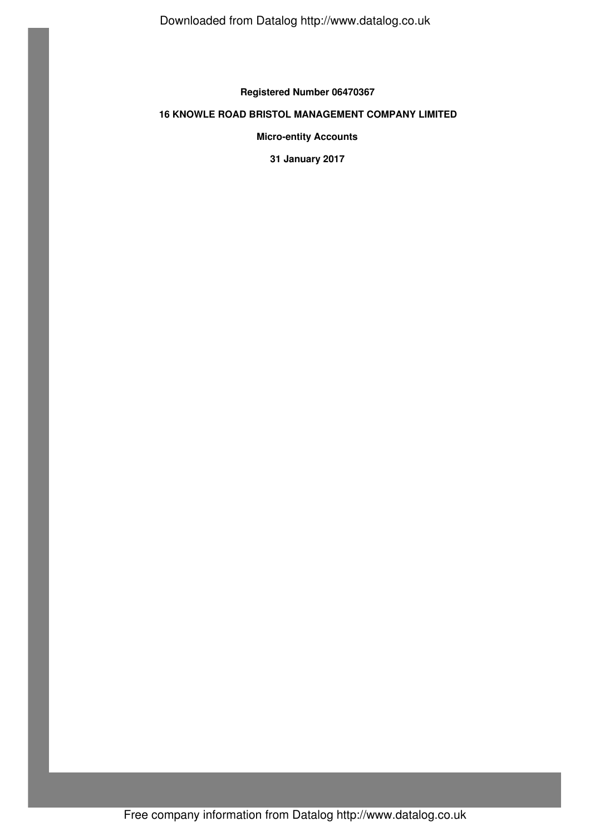Downloaded from Datalog http://www.datalog.co.uk

**Registered Number 06470367**

# **16 KNOWLE ROAD BRISTOL MANAGEMENT COMPANY LIMITED**

**Micro-entity Accounts**

**31 January 2017**

Free company information from Datalog http://www.datalog.co.uk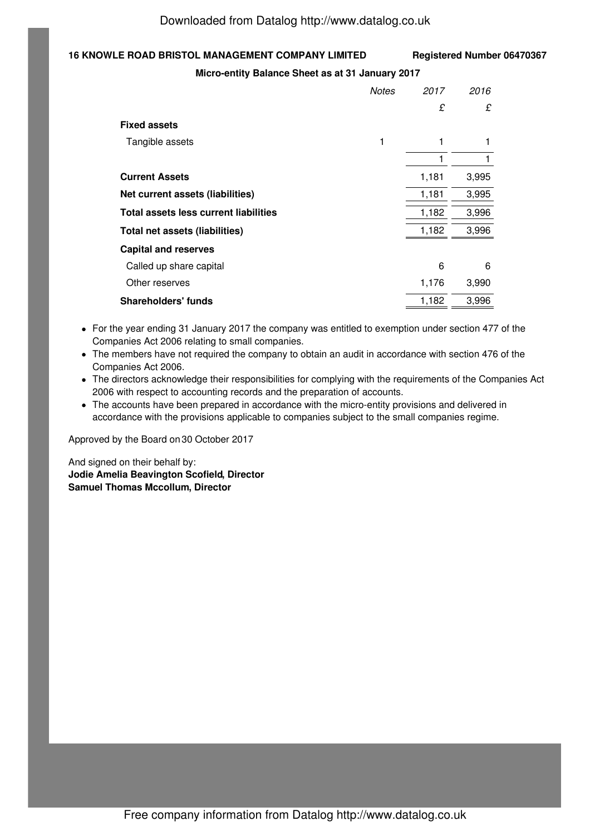# **16 KNOWLE ROAD BRISTOL MANAGEMENT COMPANY LIMITED Registered Number 06470367**

#### **Micro-entity Balance Sheet as at 31 January 2017**

|                                       | <b>Notes</b> | 2017  | 2016  |
|---------------------------------------|--------------|-------|-------|
|                                       |              | £     | £     |
| <b>Fixed assets</b>                   |              |       |       |
| Tangible assets                       | 1            | 1     | 1     |
|                                       |              | 1     |       |
| <b>Current Assets</b>                 |              | 1,181 | 3,995 |
| Net current assets (liabilities)      |              | 1,181 | 3,995 |
| Total assets less current liabilities |              | 1,182 | 3,996 |
| <b>Total net assets (liabilities)</b> |              | 1,182 | 3,996 |
| <b>Capital and reserves</b>           |              |       |       |
| Called up share capital               |              | 6     | 6     |
| Other reserves                        |              | 1,176 | 3,990 |
| <b>Shareholders' funds</b>            |              | 1,182 | 3,996 |

- For the year ending 31 January 2017 the company was entitled to exemption under section 477 of the Companies Act 2006 relating to small companies.
- The members have not required the company to obtain an audit in accordance with section 476 of the Companies Act 2006.
- The directors acknowledge their responsibilities for complying with the requirements of the Companies Act 2006 with respect to accounting records and the preparation of accounts.
- The accounts have been prepared in accordance with the micro-entity provisions and delivered in accordance with the provisions applicable to companies subject to the small companies regime.

Approved by the Board on 30 October 2017

And signed on their behalf by: **Jodie Amelia Beavington Scofield, Director Samuel Thomas Mccollum, Director**